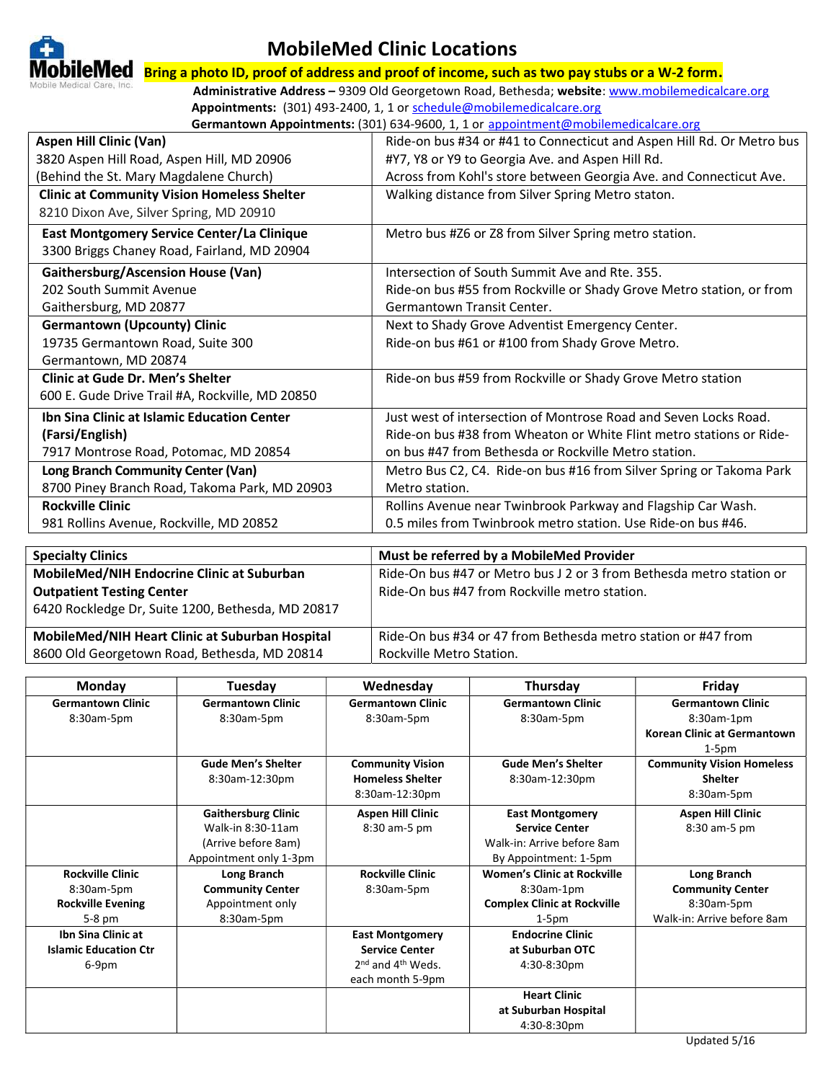

## MobileMed Clinic Locations

 $\bf{blueMed}$   $\bf$  Bring a photo ID, proof of address and proof of income, such as two pay stubs or a W-2 form.

Administrative Address - 9309 Old Georgetown Road, Bethesda; website: www.mobilemedicalcare.org Appointments: (301) 493-2400, 1, 1 or schedule@mobilemedicalcare.org Germantown Appointments: (301) 634-9600, 1, 1 or appointment@mobilemedicalcare.org

| <b>Aspen Hill Clinic (Van)</b><br>Ride-on bus #34 or #41 to Connecticut and Aspen Hill Rd. Or Metro bus<br>3820 Aspen Hill Road, Aspen Hill, MD 20906<br>#Y7, Y8 or Y9 to Georgia Ave. and Aspen Hill Rd.<br>(Behind the St. Mary Magdalene Church)<br>Across from Kohl's store between Georgia Ave. and Connecticut Ave.<br><b>Clinic at Community Vision Homeless Shelter</b><br>Walking distance from Silver Spring Metro staton. |
|--------------------------------------------------------------------------------------------------------------------------------------------------------------------------------------------------------------------------------------------------------------------------------------------------------------------------------------------------------------------------------------------------------------------------------------|
|                                                                                                                                                                                                                                                                                                                                                                                                                                      |
|                                                                                                                                                                                                                                                                                                                                                                                                                                      |
|                                                                                                                                                                                                                                                                                                                                                                                                                                      |
|                                                                                                                                                                                                                                                                                                                                                                                                                                      |
| 8210 Dixon Ave, Silver Spring, MD 20910                                                                                                                                                                                                                                                                                                                                                                                              |
| East Montgomery Service Center/La Clinique<br>Metro bus #Z6 or Z8 from Silver Spring metro station.                                                                                                                                                                                                                                                                                                                                  |
| 3300 Briggs Chaney Road, Fairland, MD 20904                                                                                                                                                                                                                                                                                                                                                                                          |
| <b>Gaithersburg/Ascension House (Van)</b><br>Intersection of South Summit Ave and Rte. 355.                                                                                                                                                                                                                                                                                                                                          |
| 202 South Summit Avenue<br>Ride-on bus #55 from Rockville or Shady Grove Metro station, or from                                                                                                                                                                                                                                                                                                                                      |
| Gaithersburg, MD 20877<br>Germantown Transit Center.                                                                                                                                                                                                                                                                                                                                                                                 |
| <b>Germantown (Upcounty) Clinic</b><br>Next to Shady Grove Adventist Emergency Center.                                                                                                                                                                                                                                                                                                                                               |
| 19735 Germantown Road, Suite 300<br>Ride-on bus #61 or #100 from Shady Grove Metro.                                                                                                                                                                                                                                                                                                                                                  |
| Germantown, MD 20874                                                                                                                                                                                                                                                                                                                                                                                                                 |
| <b>Clinic at Gude Dr. Men's Shelter</b><br>Ride-on bus #59 from Rockville or Shady Grove Metro station                                                                                                                                                                                                                                                                                                                               |
| 600 E. Gude Drive Trail #A, Rockville, MD 20850                                                                                                                                                                                                                                                                                                                                                                                      |
| Ibn Sina Clinic at Islamic Education Center<br>Just west of intersection of Montrose Road and Seven Locks Road.                                                                                                                                                                                                                                                                                                                      |
| (Farsi/English)<br>Ride-on bus #38 from Wheaton or White Flint metro stations or Ride-                                                                                                                                                                                                                                                                                                                                               |
| 7917 Montrose Road, Potomac, MD 20854<br>on bus #47 from Bethesda or Rockville Metro station.                                                                                                                                                                                                                                                                                                                                        |
| <b>Long Branch Community Center (Van)</b><br>Metro Bus C2, C4. Ride-on bus #16 from Silver Spring or Takoma Park                                                                                                                                                                                                                                                                                                                     |
| 8700 Piney Branch Road, Takoma Park, MD 20903<br>Metro station.                                                                                                                                                                                                                                                                                                                                                                      |
| <b>Rockville Clinic</b><br>Rollins Avenue near Twinbrook Parkway and Flagship Car Wash.                                                                                                                                                                                                                                                                                                                                              |
| 0.5 miles from Twinbrook metro station. Use Ride-on bus #46.<br>981 Rollins Avenue, Rockville, MD 20852                                                                                                                                                                                                                                                                                                                              |

| <b>Specialty Clinics</b>                          | Must be referred by a MobileMed Provider                             |
|---------------------------------------------------|----------------------------------------------------------------------|
| MobileMed/NIH Endocrine Clinic at Suburban        | Ride-On bus #47 or Metro bus J 2 or 3 from Bethesda metro station or |
| <b>Outpatient Testing Center</b>                  | Ride-On bus #47 from Rockville metro station.                        |
| 6420 Rockledge Dr, Suite 1200, Bethesda, MD 20817 |                                                                      |
|                                                   |                                                                      |
| MobileMed/NIH Heart Clinic at Suburban Hospital   | Ride-On bus #34 or 47 from Bethesda metro station or #47 from        |
| 8600 Old Georgetown Road, Bethesda, MD 20814      | Rockville Metro Station.                                             |

| Monday                       | Tuesday                    | Wednesday                                 | Thursday                           | Friday                             |
|------------------------------|----------------------------|-------------------------------------------|------------------------------------|------------------------------------|
| <b>Germantown Clinic</b>     | <b>Germantown Clinic</b>   | <b>Germantown Clinic</b>                  | <b>Germantown Clinic</b>           | <b>Germantown Clinic</b>           |
| 8:30am-5pm                   | 8:30am-5pm                 | 8:30am-5pm                                | 8:30am-5pm                         | 8:30am-1pm                         |
|                              |                            |                                           |                                    | <b>Korean Clinic at Germantown</b> |
|                              |                            |                                           |                                    | $1-5pm$                            |
|                              | <b>Gude Men's Shelter</b>  | <b>Community Vision</b>                   | <b>Gude Men's Shelter</b>          | <b>Community Vision Homeless</b>   |
|                              | 8:30am-12:30pm             | <b>Homeless Shelter</b>                   | 8:30am-12:30pm                     | <b>Shelter</b>                     |
|                              |                            | 8:30am-12:30pm                            |                                    | 8:30am-5pm                         |
|                              | <b>Gaithersburg Clinic</b> | <b>Aspen Hill Clinic</b>                  | <b>East Montgomery</b>             | <b>Aspen Hill Clinic</b>           |
|                              | Walk-in 8:30-11am          | 8:30 am-5 pm                              | <b>Service Center</b>              | 8:30 am-5 pm                       |
|                              | (Arrive before 8am)        |                                           | Walk-in: Arrive before 8am         |                                    |
|                              | Appointment only 1-3pm     |                                           | By Appointment: 1-5pm              |                                    |
| <b>Rockville Clinic</b>      | Long Branch                | <b>Rockville Clinic</b>                   | <b>Women's Clinic at Rockville</b> | Long Branch                        |
| 8:30am-5pm                   | <b>Community Center</b>    | 8:30am-5pm                                | 8:30am-1pm                         | <b>Community Center</b>            |
| <b>Rockville Evening</b>     | Appointment only           |                                           | <b>Complex Clinic at Rockville</b> | 8:30am-5pm                         |
| $5-8$ pm                     | 8:30am-5pm                 |                                           | $1-5pm$                            | Walk-in: Arrive before 8am         |
| <b>Ibn Sina Clinic at</b>    |                            | <b>East Montgomery</b>                    | <b>Endocrine Clinic</b>            |                                    |
| <b>Islamic Education Ctr</b> |                            | <b>Service Center</b>                     | at Suburban OTC                    |                                    |
| 6-9pm                        |                            | 2 <sup>nd</sup> and 4 <sup>th</sup> Weds. | 4:30-8:30pm                        |                                    |
|                              |                            | each month 5-9pm                          |                                    |                                    |
|                              |                            |                                           | <b>Heart Clinic</b>                |                                    |
|                              |                            |                                           | at Suburban Hospital               |                                    |
|                              |                            |                                           | 4:30-8:30pm                        |                                    |